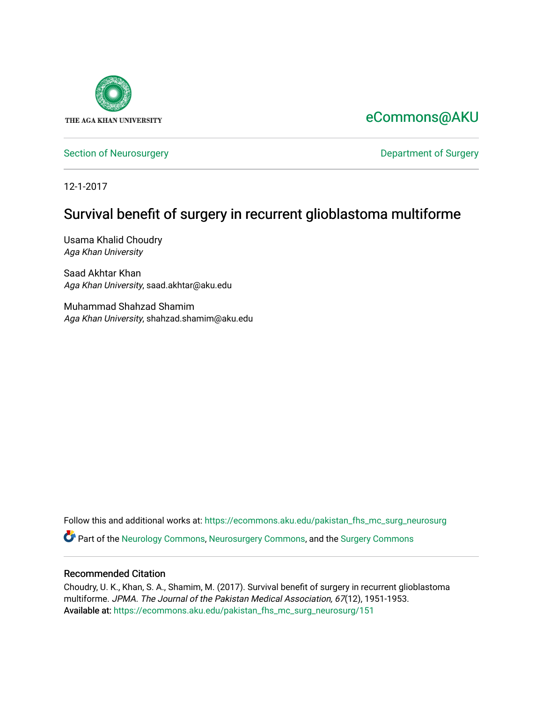

# [eCommons@AKU](https://ecommons.aku.edu/)

[Section of Neurosurgery](https://ecommons.aku.edu/pakistan_fhs_mc_surg_neurosurg) **Department of Surgery** Department of Surgery

12-1-2017

# Survival benefit of surgery in recurrent glioblastoma multiforme

Usama Khalid Choudry Aga Khan University

Saad Akhtar Khan Aga Khan University, saad.akhtar@aku.edu

Muhammad Shahzad Shamim Aga Khan University, shahzad.shamim@aku.edu

Follow this and additional works at: [https://ecommons.aku.edu/pakistan\\_fhs\\_mc\\_surg\\_neurosurg](https://ecommons.aku.edu/pakistan_fhs_mc_surg_neurosurg?utm_source=ecommons.aku.edu%2Fpakistan_fhs_mc_surg_neurosurg%2F151&utm_medium=PDF&utm_campaign=PDFCoverPages) 

Part of the [Neurology Commons](http://network.bepress.com/hgg/discipline/692?utm_source=ecommons.aku.edu%2Fpakistan_fhs_mc_surg_neurosurg%2F151&utm_medium=PDF&utm_campaign=PDFCoverPages), [Neurosurgery Commons](http://network.bepress.com/hgg/discipline/1428?utm_source=ecommons.aku.edu%2Fpakistan_fhs_mc_surg_neurosurg%2F151&utm_medium=PDF&utm_campaign=PDFCoverPages), and the [Surgery Commons](http://network.bepress.com/hgg/discipline/706?utm_source=ecommons.aku.edu%2Fpakistan_fhs_mc_surg_neurosurg%2F151&utm_medium=PDF&utm_campaign=PDFCoverPages) 

### Recommended Citation

Choudry, U. K., Khan, S. A., Shamim, M. (2017). Survival benefit of surgery in recurrent glioblastoma multiforme. JPMA. The Journal of the Pakistan Medical Association, 67(12), 1951-1953. Available at: [https://ecommons.aku.edu/pakistan\\_fhs\\_mc\\_surg\\_neurosurg/151](https://ecommons.aku.edu/pakistan_fhs_mc_surg_neurosurg/151)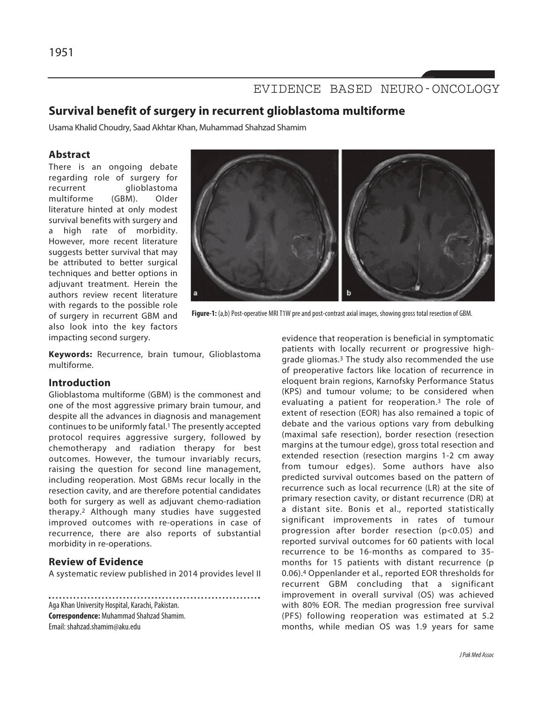## EVIDENCE BASED NEURO-ONCOLOGY

## **Survival benefit of surgery in recurrent glioblastoma multiforme**

Usama Khalid Choudry, Saad Akhtar Khan, Muhammad Shahzad Shamim

#### **Abstract**

There is an ongoing debate regarding role of surgery for recurrent glioblastoma multiforme (GBM). Older literature hinted at only modest survival benefits with surgery and a high rate of morbidity. However, more recent literature suggests better survival that may be attributed to better surgical techniques and better options in adjuvant treatment. Herein the authors review recent literature with regards to the possible role of surgery in recurrent GBM and also look into the key factors impacting second surgery.



Figure-1: (a,b) Post-operative MRI T1W pre and post-contrast axial images, showing gross total resection of GBM.

**Keywords:** Recurrence, brain tumour, Glioblastoma multiforme.

#### **Introduction**

Glioblastoma multiforme (GBM) is the commonest and one of the most aggressive primary brain tumour, and despite all the advances in diagnosis and management continues to be uniformly fatal. <sup>1</sup> The presently accepted protocol requires aggressive surgery, followed by chemotherapy and radiation therapy for best outcomes. However, the tumour invariably recurs, raising the question for second line management, including reoperation. Most GBMs recur locally in the resection cavity, and are therefore potential candidates both for surgery as well as adjuvant chemo-radiation therapy.2 Although many studies have suggested improved outcomes with re-operations in case of recurrence, there are also reports of substantial morbidity in re-operations.

#### **Review of Evidence**

A systematic review published in 2014 provides level II

Aga Khan University Hospital, Karachi, Pakistan. **Correspondence: Muhammad Shahzad Shamim.** Email: shahzad.shamim@aku.edu

evidence that reoperation is beneficial in symptomatic patients with locally recurrent or progressive highgrade gliomas.3 The study also recommended the use of preoperative factors like location of recurrence in eloquent brain regions, Karnofsky Performance Status (KPS) and tumour volume; to be considered when evaluating a patient for reoperation.3 The role of extent of resection (EOR) has also remained a topic of debate and the various options vary from debulking (maximal safe resection), border resection (resection margins at the tumour edge), gross total resection and extended resection (resection margins 1-2 cm away from tumour edges). Some authors have also predicted survival outcomes based on the pattern of recurrence such as local recurrence (LR) at the site of primary resection cavity, or distant recurrence (DR) at a distant site. Bonis et al., reported statistically significant improvements in rates of tumour progression after border resection (p<0.05) and reported survival outcomes for 60 patients with local recurrence to be 16-months as compared to 35 months for 15 patients with distant recurrence (p 0.06).4 Oppenlander et al., reported EOR thresholds for recurrent GBM concluding that a significant improvement in overall survival (OS) was achieved with 80% EOR. The median progression free survival (PFS) following reoperation was estimated at 5.2 months, while median OS was 1.9 years for same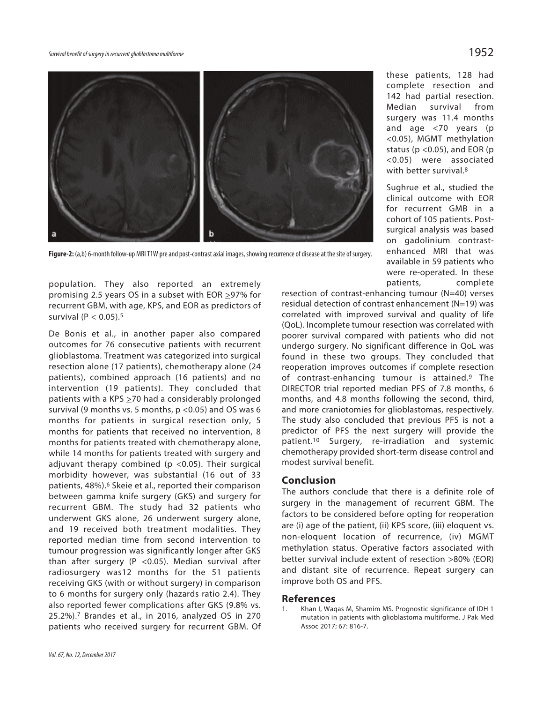

Figure-2: (a,b) 6-month follow-up MRI T1W pre and post-contrast axial images, showing recurrence of disease at the site of surgery.

population. They also reported an extremely promising 2.5 years OS in a subset with EOR >97% for recurrent GBM, with age, KPS, and EOR as predictors of survival ( $P < 0.05$ ).<sup>5</sup>

De Bonis et al., in another paper also compared outcomes for 76 consecutive patients with recurrent glioblastoma. Treatment was categorized into surgical resection alone (17 patients), chemotherapy alone (24 patients), combined approach (16 patients) and no intervention (19 patients). They concluded that patients with a KPS  $\geq$ 70 had a considerably prolonged survival (9 months vs. 5 months,  $p$  <0.05) and OS was 6 months for patients in surgical resection only, 5 months for patients that received no intervention, 8 months for patients treated with chemotherapy alone, while 14 months for patients treated with surgery and adjuvant therapy combined (p <0.05). Their surgical morbidity however, was substantial (16 out of 33 patients, 48%).6 Skeie et al., reported their comparison between gamma knife surgery (GKS) and surgery for recurrent GBM. The study had 32 patients who underwent GKS alone, 26 underwent surgery alone, and 19 received both treatment modalities. They reported median time from second intervention to tumour progression was significantly longer after GKS than after surgery (P <0.05). Median survival after radiosurgery was12 months for the 51 patients receiving GKS (with or without surgery) in comparison to 6 months for surgery only (hazards ratio 2.4). They also reported fewer complications after GKS (9.8% vs. 25.2%).7 Brandes et al., in 2016, analyzed OS in 270 patients who received surgery for recurrent GBM. Of resection of contrast-enhancing tumour (N=40) verses residual detection of contrast enhancement (N=19) was correlated with improved survival and quality of life (QoL). Incomplete tumour resection was correlated with poorer survival compared with patients who did not undergo surgery. No significant difference in QoL was found in these two groups. They concluded that reoperation improves outcomes if complete resection of contrast-enhancing tumour is attained.9 The DIRECTOR trial reported median PFS of 7.8 months, 6 months, and 4.8 months following the second, third, and more craniotomies for glioblastomas, respectively. The study also concluded that previous PFS is not a predictor of PFS the next surgery will provide the patient.10 Surgery, re-irradiation and systemic chemotherapy provided short-term disease control and modest survival benefit.

#### **Conclusion**

The authors conclude that there is a definite role of surgery in the management of recurrent GBM. The factors to be considered before opting for reoperation are (i) age of the patient, (ii) KPS score, (iii) eloquent vs. non-eloquent location of recurrence, (iv) MGMT methylation status. Operative factors associated with better survival include extent of resection >80% (EOR) and distant site of recurrence. Repeat surgery can improve both OS and PFS.

#### **References**

Khan I, Waqas M, Shamim MS. Prognostic significance of IDH 1 mutation in patients with glioblastoma multiforme. J Pak Med Assoc 2017; 67: 816-7.

these patients, 128 had complete resection and 142 had partial resection. Median survival from surgery was 11.4 months and age <70 years (p <0.05), MGMT methylation status ( $p < 0.05$ ), and EOR ( $p$ <0.05) were associated with better survival.8

Sughrue et al., studied the clinical outcome with EOR for recurrent GMB in a cohort of 105 patients. Postsurgical analysis was based on gadolinium contrastenhanced MRI that was available in 59 patients who were re-operated. In these patients, complete